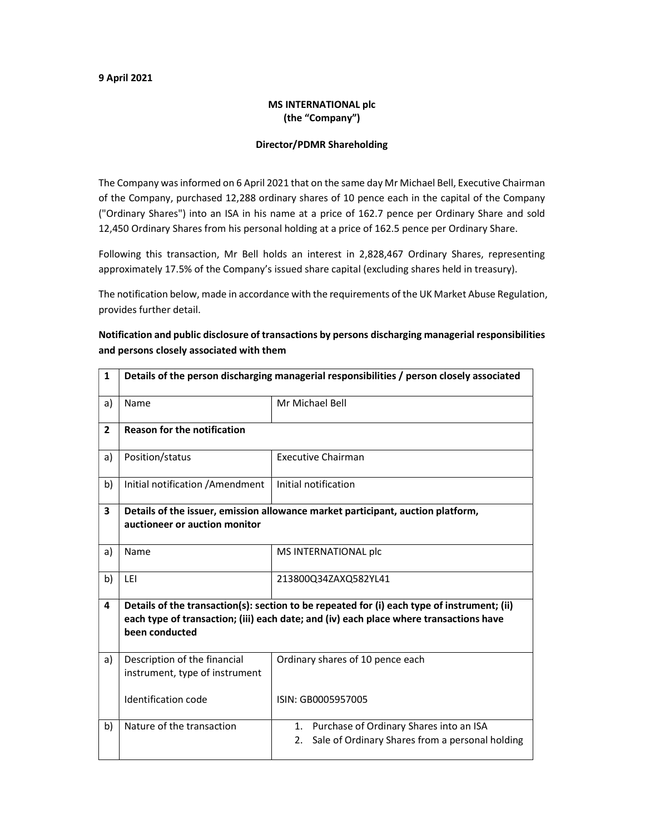#### 9 April 2021

### MS INTERNATIONAL plc (the "Company")

#### Director/PDMR Shareholding

The Company was informed on 6 April 2021 that on the same day Mr Michael Bell, Executive Chairman of the Company, purchased 12,288 ordinary shares of 10 pence each in the capital of the Company ("Ordinary Shares") into an ISA in his name at a price of 162.7 pence per Ordinary Share and sold 12,450 Ordinary Shares from his personal holding at a price of 162.5 pence per Ordinary Share.

Following this transaction, Mr Bell holds an interest in 2,828,467 Ordinary Shares, representing approximately 17.5% of the Company's issued share capital (excluding shares held in treasury).

The notification below, made in accordance with the requirements of the UK Market Abuse Regulation, provides further detail.

## Notification and public disclosure of transactions by persons discharging managerial responsibilities and persons closely associated with them

| $\mathbf{1}$            | Details of the person discharging managerial responsibilities / person closely associated                                                                                                               |                                                                                                     |  |
|-------------------------|---------------------------------------------------------------------------------------------------------------------------------------------------------------------------------------------------------|-----------------------------------------------------------------------------------------------------|--|
| a)                      | Name                                                                                                                                                                                                    | Mr Michael Bell                                                                                     |  |
| $\overline{2}$          | <b>Reason for the notification</b>                                                                                                                                                                      |                                                                                                     |  |
| a)                      | Position/status                                                                                                                                                                                         | <b>Executive Chairman</b>                                                                           |  |
| b)                      | Initial notification / Amendment                                                                                                                                                                        | Initial notification                                                                                |  |
| $\overline{\mathbf{3}}$ | Details of the issuer, emission allowance market participant, auction platform,                                                                                                                         |                                                                                                     |  |
|                         | auctioneer or auction monitor                                                                                                                                                                           |                                                                                                     |  |
| a)                      | Name                                                                                                                                                                                                    | MS INTERNATIONAL plc                                                                                |  |
| b)                      | LEI                                                                                                                                                                                                     | 213800Q34ZAXQ582YL41                                                                                |  |
| 4                       | Details of the transaction(s): section to be repeated for (i) each type of instrument; (ii)<br>each type of transaction; (iii) each date; and (iv) each place where transactions have<br>been conducted |                                                                                                     |  |
| a)                      | Description of the financial<br>instrument, type of instrument                                                                                                                                          | Ordinary shares of 10 pence each                                                                    |  |
|                         | Identification code                                                                                                                                                                                     | ISIN: GB0005957005                                                                                  |  |
| b)                      | Nature of the transaction                                                                                                                                                                               | 1. Purchase of Ordinary Shares into an ISA<br>Sale of Ordinary Shares from a personal holding<br>2. |  |